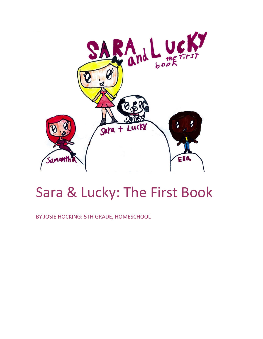

# Sara & Lucky: The First Book

BY JOSIE HOCKING: 5TH GRADE, HOMESCHOOL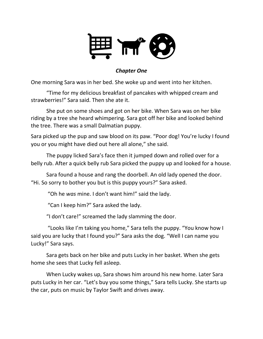

#### *Chapter One*

One morning Sara was in her bed. She woke up and went into her kitchen.

"Time for my delicious breakfast of pancakes with whipped cream and strawberries!" Sara said. Then she ate it.

She put on some shoes and got on her bike. When Sara was on her bike riding by a tree she heard whimpering. Sara got off her bike and looked behind the tree. There was a small Dalmatian puppy.

Sara picked up the pup and saw blood on its paw. "Poor dog! You're lucky I found you or you might have died out here all alone," she said.

The puppy licked Sara's face then it jumped down and rolled over for a belly rub. After a quick belly rub Sara picked the puppy up and looked for a house.

Sara found a house and rang the doorbell. An old lady opened the door. "Hi. So sorry to bother you but is this puppy yours?" Sara asked.

"Oh he *was* mine. I don't want him!" said the lady.

"Can I keep him?" Sara asked the lady.

"I don't care!" screamed the lady slamming the door.

"Looks like I'm taking you home," Sara tells the puppy. "You know how I said you are lucky that I found you?" Sara asks the dog. "Well I can name you Lucky!" Sara says.

Sara gets back on her bike and puts Lucky in her basket. When she gets home she sees that Lucky fell asleep.

When Lucky wakes up, Sara shows him around his new home. Later Sara puts Lucky in her car. "Let's buy you some things," Sara tells Lucky. She starts up the car, puts on music by Taylor Swift and drives away.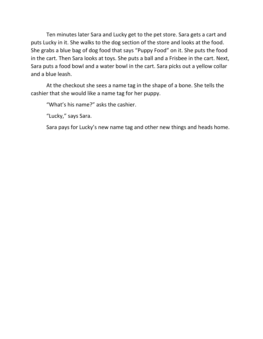Ten minutes later Sara and Lucky get to the pet store. Sara gets a cart and puts Lucky in it. She walks to the dog section of the store and looks at the food. She grabs a blue bag of dog food that says "Puppy Food" on it. She puts the food in the cart. Then Sara looks at toys. She puts a ball and a Frisbee in the cart. Next, Sara puts a food bowl and a water bowl in the cart. Sara picks out a yellow collar and a blue leash.

At the checkout she sees a name tag in the shape of a bone. She tells the cashier that she would like a name tag for her puppy.

"What's his name?" asks the cashier.

"Lucky," says Sara.

Sara pays for Lucky's new name tag and other new things and heads home.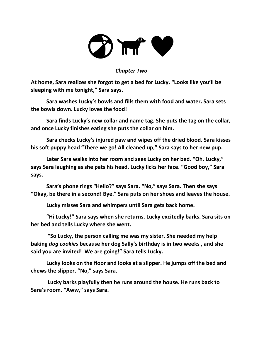

#### *Chapter Two*

**At home, Sara realizes she forgot to get a bed for Lucky. "Looks like you'll be sleeping with me tonight," Sara says.** 

**Sara washes Lucky's bowls and fills them with food and water. Sara sets the bowls down. Lucky loves the food!**

**Sara finds Lucky's new collar and name tag. She puts the tag on the collar, and once Lucky finishes eating she puts the collar on him.**

**Sara checks Lucky's injured paw and wipes off the dried blood. Sara kisses his soft puppy head "There we go! All cleaned up," Sara says to her new pup.** 

**Later Sara walks into her room and sees Lucky on her bed. "Oh, Lucky," says Sara laughing as she pats his head. Lucky licks her face. "Good boy," Sara says.** 

**Sara's phone rings "Hello?" says Sara. "No," says Sara. Then she says "Okay, be there in a second! Bye." Sara puts on her shoes and leaves the house.** 

**Lucky misses Sara and whimpers until Sara gets back home.**

**"Hi Lucky!" Sara says when she returns. Lucky excitedly barks. Sara sits on her bed and tells Lucky where she went.**

**"So Lucky, the person calling me was my sister. She needed my help baking** *dog cookies* **because her dog Sally's birthday is in two weeks , and she said you are invited! We are going!" Sara tells Lucky.** 

**Lucky looks on the floor and looks at a slipper. He jumps off the bed and chews the slipper. "No," says Sara.**

**Lucky barks playfully then he runs around the house. He runs back to Sara's room. "Aww," says Sara.**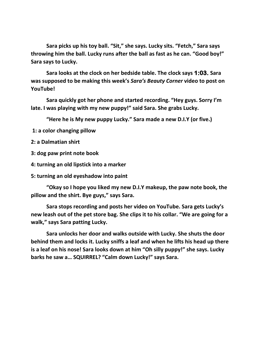**Sara picks up his toy ball. "Sit," she says. Lucky sits. "Fetch," Sara says throwing him the ball. Lucky runs after the ball as fast as he can. "Good boy!" Sara says to Lucky.**

**Sara looks at the clock on her bedside table. The clock says 1:03. Sara was supposed to be making this week's** *Sara's Beauty Corner* **video to post on YouTube!** 

**Sara quickly got her phone and started recording. "Hey guys. Sorry I'm late. I was playing with my new puppy!" said Sara. She grabs Lucky.** 

**"Here he is My new puppy Lucky." Sara made a new D.I.Y (or five.)**

**1: a color changing pillow** 

**2: a Dalmatian shirt** 

**3: dog paw print note book**

**4: turning an old lipstick into a marker**

**5: turning an old eyeshadow into paint**

**"Okay so I hope you liked my new D.I.Y makeup, the paw note book, the pillow and the shirt. Bye guys," says Sara.**

**Sara stops recording and posts her video on YouTube. Sara gets Lucky's new leash out of the pet store bag. She clips it to his collar. "We are going for a walk," says Sara patting Lucky.** 

**Sara unlocks her door and walks outside with Lucky. She shuts the door behind them and locks it. Lucky sniffs a leaf and when he lifts his head up there is a leaf on his nose! Sara looks down at him "Oh silly puppy!" she says. Lucky barks he saw a… SQUIRREL? "Calm down Lucky!" says Sara.**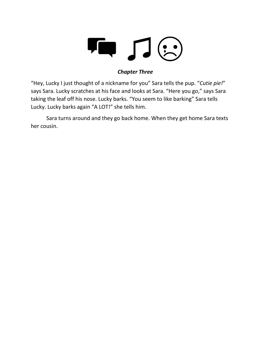

### *Chapter Three*

"Hey, Lucky I just thought of a nickname for you" Sara tells the pup. "*Cutie pie!*" says Sara. Lucky scratches at his face and looks at Sara. "Here you go," says Sara taking the leaf off his nose. Lucky barks. "You seem to like barking" Sara tells Lucky. Lucky barks again "A LOT!" she tells him.

Sara turns around and they go back home. When they get home Sara texts her cousin.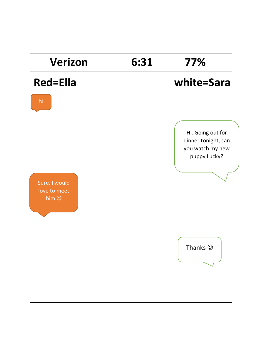## **Verizon 6:31 77%**

hi

### **Red=Ella white=Sara**



Sure, I would love to meet him  $\odot$ 

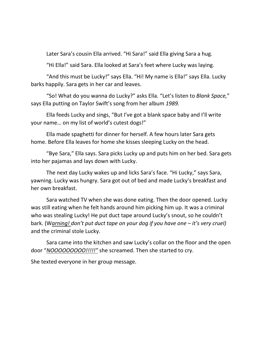Later Sara's cousin Ella arrived. "Hi Sara!" said Ella giving Sara a hug.

"Hi Ella!" said Sara. Ella looked at Sara's feet where Lucky was laying.

"And this must be Lucky!" says Ella. "Hi! My name is Ella!" says Ella. Lucky barks happily. Sara gets in her car and leaves.

"So! What do you wanna do Lucky?" asks Ella. "Let's listen to *Blank Space,*" says Ella putting on Taylor Swift's song from her album *1989.*

Ella feeds Lucky and sings, "But I've got a blank space baby and I'll write your name… on my list of world's cutest dogs!"

Ella made spaghetti for dinner for herself. A few hours later Sara gets home. Before Ella leaves for home she kisses sleeping Lucky on the head.

"Bye Sara," Ella says. Sara picks Lucky up and puts him on her bed. Sara gets into her pajamas and lays down with Lucky.

The next day Lucky wakes up and licks Sara's face. "Hi Lucky," says Sara, yawning. Lucky was hungry. Sara got out of bed and made Lucky's breakfast and her own breakfast.

Sara watched TV when she was done eating. Then the door opened. Lucky was still eating when he felt hands around him picking him up. It was a criminal who was stealing Lucky! He put duct tape around Lucky's snout, so he couldn't bark. (W*arning! don't put duct tape on your dog if you have one – it's very cruel)* and the criminal stole Lucky.

Sara came into the kitchen and saw Lucky's collar on the floor and the open door "*NOOOOOOOOO!!!!!"* she screamed. Then she started to cry.

She texted everyone in her group message.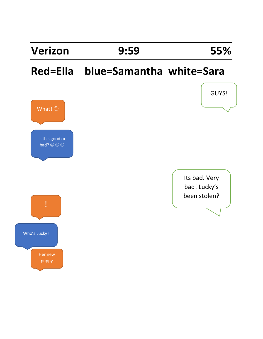# **Red=Ella blue=Samantha white=Sara**

**Verizon 9:59 55%**

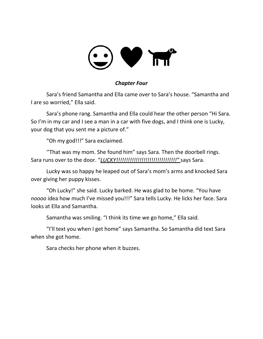# V TT

#### *Chapter Four*

Sara's friend Samantha and Ella came over to Sara's house. "Samantha and I are so worried," Ella said.

Sara's phone rang. Samantha and Ella could hear the other person "Hi Sara. So I'm in my car and I see a man in a car with five dogs, and I think one is Lucky, your dog that you sent me a picture of."

"Oh my god!!!" Sara exclaimed.

''That was my mom. She found him" says Sara. Then the doorbell rings. Sara runs over to the door. "*LUCKY!!!!!!!!!!!!!!!!!!!!!!!!!!!!!!!"* says Sara.

Lucky was so happy he leaped out of Sara's mom's arms and knocked Sara over giving her puppy kisses.

"Oh Lucky!" she said. Lucky barked. He was glad to be home. "You have *noooo* idea how much I've missed you!!!" Sara tells Lucky. He licks her face. Sara looks at Ella and Samantha.

Samantha was smiling. "I think its time we go home," Ella said.

"I'll text you when I get home" says Samantha. So Samantha did text Sara when she got home.

Sara checks her phone when it buzzes.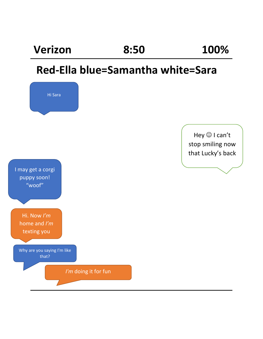# **Verizon 8:50 100% Red-Ella blue=Samantha white=Sara**  Hi Sara Hey  $\textcircled{\small{\texttt{I}}}$  I can't stop smiling now that Lucky's back I may get a corgi puppy soon! "woof" Hi. Now *I'm* home and *I'm* texting you Why are you saying I'm like that? *I'm* doing it for fun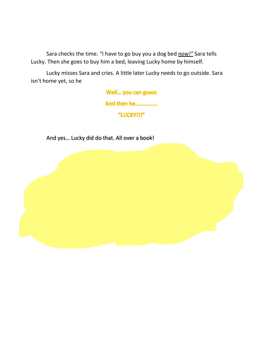Sara checks the time. "I have to go buy you a dog bed *now!"* Sara tells Lucky. Then she goes to buy him a bed, leaving Lucky home by himself.

Lucky misses Sara and cries. A little later Lucky needs to go outside. Sara isn't home yet, so he

#### Well... you can guess

**And then he...............** 

"LUCKY!!!"

And yes… Lucky did do that. All over a book!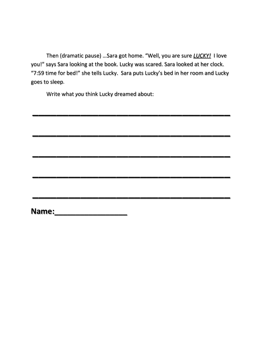Then (dramatic pause) …Sara got home. "Well, you are sure *LUCKY!* I love you!" says Sara looking at the book. Lucky was scared. Sara looked at her clock. "7:59 time for bed!" she tells Lucky. Sara puts Lucky's bed in her room and Lucky goes to sleep.

**\_\_\_\_\_\_\_\_\_\_\_\_\_\_\_\_\_\_\_\_\_\_\_\_\_\_\_\_\_\_\_\_\_**

**\_\_\_\_\_\_\_\_\_\_\_\_\_\_\_\_\_\_\_\_\_\_\_\_\_\_\_\_\_\_\_\_\_**

**\_\_\_\_\_\_\_\_\_\_\_\_\_\_\_\_\_\_\_\_\_\_\_\_\_\_\_\_\_\_\_\_\_**

**\_\_\_\_\_\_\_\_\_\_\_\_\_\_\_\_\_\_\_\_\_\_\_\_\_\_\_\_\_\_\_\_\_**

**\_\_\_\_\_\_\_\_\_\_\_\_\_\_\_\_\_\_\_\_\_\_\_\_\_\_\_\_\_\_\_\_\_**

Write what *you* think Lucky dreamed about:

**Name:\_\_\_\_\_\_\_\_\_\_\_\_\_\_\_\_\_**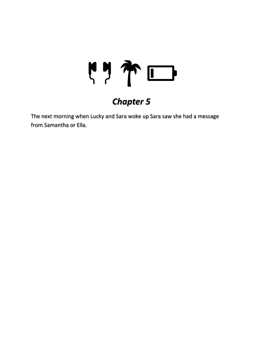

### *Chapter 5*

The next morning when Lucky and Sara woke up Sara saw she had a message from Samantha or Ella.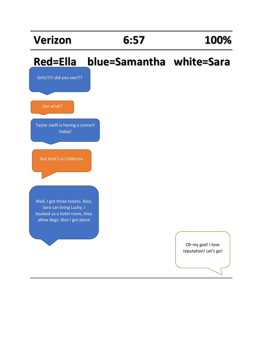### **Verizon 6:57 100%**

Girls!!!!! did you see?!?

Taylor swift is having a concert today!

But that's in California

See what?

### **Red=Ella blue=Samantha white=Sara**

Well, I got three tickets. Also, Sara can bring Lucky, I booked us a hotel room, they allow dogs. Also I got plane

### Oh my god! I love reputation! Let's go!